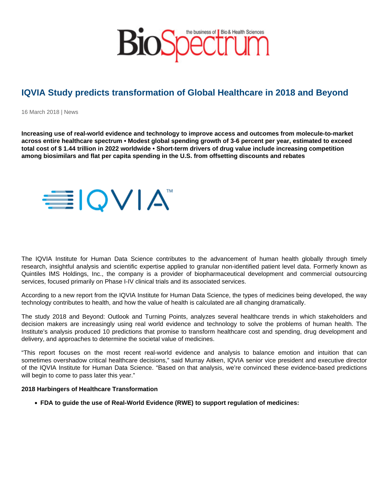# IQVIA Study predicts transformation of Global Healthcare in 2018 and Beyond

16 March 2018 | News

Increasing use of real-world evidence and technology to improve access and outcomes from molecule-to-market across entire healthcare spectrum • Modest global spending growth of 3-6 percent per year, estimated to exceed total cost of \$ 1.44 trillion in 2022 worldwide • Short-term drivers of drug value include increasing competition among biosimilars and flat per capita spending in the U.S. from offsetting discounts and rebates

The IQVIA Institute for Human Data Science contributes to the advancement of human health globally through timely research, insightful analysis and scientific expertise applied to granular non-identified patient level data. Formerly known as Quintiles IMS Holdings, Inc., the company is a provider of biopharmaceutical development and commercial outsourcing services, focused primarily on Phase I-IV clinical trials and its associated services.

According to a new report from the IQVIA Institute for Human Data Science, the types of medicines being developed, the way technology contributes to health, and how the value of health is calculated are all changing dramatically.

The study 2018 and Beyond: Outlook and Turning Points, analyzes several healthcare trends in which stakeholders and decision makers are increasingly using real world evidence and technology to solve the problems of human health. The Institute's analysis produced 10 predictions that promise to transform healthcare cost and spending, drug development and delivery, and approaches to determine the societal value of medicines.

"This report focuses on the most recent real-world evidence and analysis to balance emotion and intuition that can sometimes overshadow critical healthcare decisions," said Murray Aitken, IQVIA senior vice president and executive director of the IQVIA Institute for Human Data Science. "Based on that analysis, we're convinced these evidence-based predictions will begin to come to pass later this year."

2018 Harbingers of Healthcare Transformation

FDA to guide the use of Real-World Evidence (RWE) to support regulation of medicines: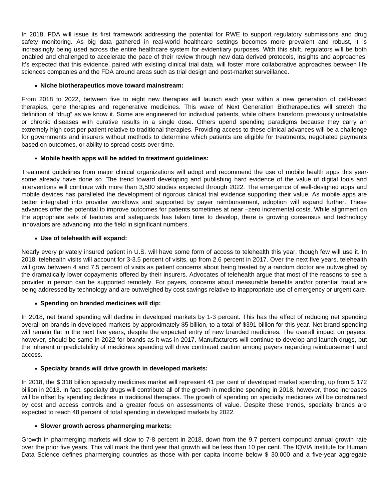In 2018, FDA will issue its first framework addressing the potential for RWE to support regulatory submissions and drug safety monitoring. As big data gathered in real-world healthcare settings becomes more prevalent and robust, it is increasingly being used across the entire healthcare system for evidentiary purposes. With this shift, regulators will be both enabled and challenged to accelerate the pace of their review through new data derived protocols, insights and approaches. It's expected that this evidence, paired with existing clinical trial data, will foster more collaborative approaches between life sciences companies and the FDA around areas such as trial design and post-market surveillance.

### **Niche biotherapeutics move toward mainstream:**

From 2018 to 2022, between five to eight new therapies will launch each year within a new generation of cell-based therapies, gene therapies and regenerative medicines. This wave of Next Generation Biotherapeutics will stretch the definition of "drug" as we know it. Some are engineered for individual patients, while others transform previously untreatable or chronic diseases with curative results in a single dose. Others upend spending paradigms because they carry an extremely high cost per patient relative to traditional therapies. Providing access to these clinical advances will be a challenge for governments and insurers without methods to determine which patients are eligible for treatments, negotiated payments based on outcomes, or ability to spread costs over time.

## **Mobile health apps will be added to treatment guidelines:**

Treatment guidelines from major clinical organizations will adopt and recommend the use of mobile health apps this yearsome already have done so. The trend toward developing and publishing hard evidence of the value of digital tools and interventions will continue with more than 3,500 studies expected through 2022. The emergence of well-designed apps and mobile devices has paralleled the development of rigorous clinical trial evidence supporting their value. As mobile apps are better integrated into provider workflows and supported by payer reimbursement, adoption will expand further. These advances offer the potential to improve outcomes for patients sometimes at near –zero incremental costs. While alignment on the appropriate sets of features and safeguards has taken time to develop, there is growing consensus and technology innovators are advancing into the field in significant numbers.

## **Use of telehealth will expand:**

Nearly every privately insured patient in U.S. will have some form of access to telehealth this year, though few will use it. In 2018, telehealth visits will account for 3-3.5 percent of visits, up from 2.6 percent in 2017. Over the next five years, telehealth will grow between 4 and 7.5 percent of visits as patient concerns about being treated by a random doctor are outweighed by the dramatically lower copayments offered by their insurers. Advocates of telehealth argue that most of the reasons to see a provider in person can be supported remotely. For payers, concerns about measurable benefits and/or potential fraud are being addressed by technology and are outweighed by cost savings relative to inappropriate use of emergency or urgent care.

#### **Spending on branded medicines will dip:**

In 2018, net brand spending will decline in developed markets by 1-3 percent. This has the effect of reducing net spending overall on brands in developed markets by approximately \$5 billion, to a total of \$391 billion for this year. Net brand spending will remain flat in the next five years, despite the expected entry of new branded medicines. The overall impact on payers, however, should be same in 2022 for brands as it was in 2017. Manufacturers will continue to develop and launch drugs, but the inherent unpredictability of medicines spending will drive continued caution among payers regarding reimbursement and access.

#### **Specialty brands will drive growth in developed markets:**

In 2018, the \$ 318 billion specialty medicines market will represent 41 per cent of developed market spending, up from \$ 172 billion in 2013. In fact, specialty drugs will contribute all of the growth in medicine spending in 2018, however, those increases will be offset by spending declines in traditional therapies. The growth of spending on specialty medicines will be constrained by cost and access controls and a greater focus on assessments of value. Despite these trends, specialty brands are expected to reach 48 percent of total spending in developed markets by 2022.

#### **Slower growth across pharmerging markets:**

Growth in pharmerging markets will slow to 7-8 percent in 2018, down from the 9.7 percent compound annual growth rate over the prior five years. This will mark the third year that growth will be less than 10 per cent. The IQVIA Institute for Human Data Science defines pharmerging countries as those with per capita income below \$ 30,000 and a five-year aggregate